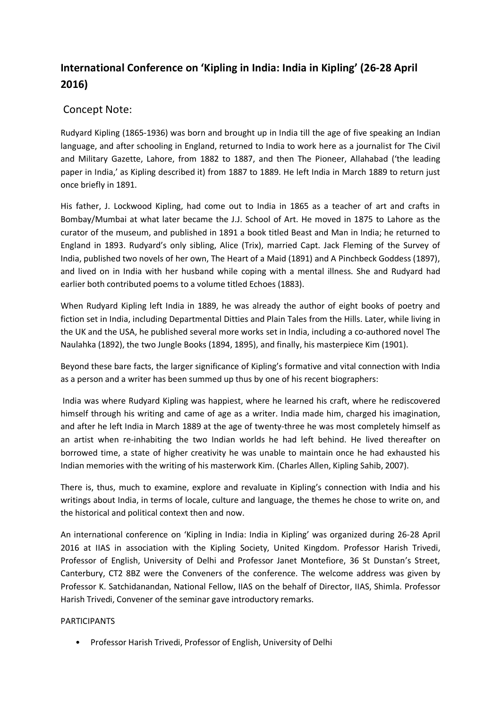## **International Conference on 'Kipling in India: India in Kipling' (26-28 April 2016)**

## Concept Note:

Rudyard Kipling (1865-1936) was born and brought up in India till the age of five speaking an Indian language, and after schooling in England, returned to India to work here as a journalist for The Civil and Military Gazette, Lahore, from 1882 to 1887, and then The Pioneer, Allahabad ('the leading paper in India,' as Kipling described it) from 1887 to 1889. He left India in March 1889 to return just once briefly in 1891.

His father, J. Lockwood Kipling, had come out to India in 1865 as a teacher of art and crafts in Bombay/Mumbai at what later became the J.J. School of Art. He moved in 1875 to Lahore as the curator of the museum, and published in 1891 a book titled Beast and Man in India; he returned to England in 1893. Rudyard's only sibling, Alice (Trix), married Capt. Jack Fleming of the Survey of India, published two novels of her own, The Heart of a Maid (1891) and A Pinchbeck Goddess (1897), and lived on in India with her husband while coping with a mental illness. She and Rudyard had earlier both contributed poems to a volume titled Echoes (1883).

When Rudyard Kipling left India in 1889, he was already the author of eight books of poetry and fiction set in India, including Departmental Ditties and Plain Tales from the Hills. Later, while living in the UK and the USA, he published several more works set in India, including a co-authored novel The Naulahka (1892), the two Jungle Books (1894, 1895), and finally, his masterpiece Kim (1901).

Beyond these bare facts, the larger significance of Kipling's formative and vital connection with India as a person and a writer has been summed up thus by one of his recent biographers:

India was where Rudyard Kipling was happiest, where he learned his craft, where he rediscovered himself through his writing and came of age as a writer. India made him, charged his imagination, and after he left India in March 1889 at the age of twenty-three he was most completely himself as an artist when re-inhabiting the two Indian worlds he had left behind. He lived thereafter on borrowed time, a state of higher creativity he was unable to maintain once he had exhausted his Indian memories with the writing of his masterwork Kim. (Charles Allen, Kipling Sahib, 2007).

There is, thus, much to examine, explore and revaluate in Kipling's connection with India and his writings about India, in terms of locale, culture and language, the themes he chose to write on, and the historical and political context then and now.

An international conference on 'Kipling in India: India in Kipling' was organized during 26-28 April 2016 at IIAS in association with the Kipling Society, United Kingdom. Professor Harish Trivedi, Professor of English, University of Delhi and Professor Janet Montefiore, 36 St Dunstan's Street, Canterbury, CT2 8BZ were the Conveners of the conference. The welcome address was given by Professor K. Satchidanandan, National Fellow, IIAS on the behalf of Director, IIAS, Shimla. Professor Harish Trivedi, Convener of the seminar gave introductory remarks.

## PARTICIPANTS

• Professor Harish Trivedi, Professor of English, University of Delhi